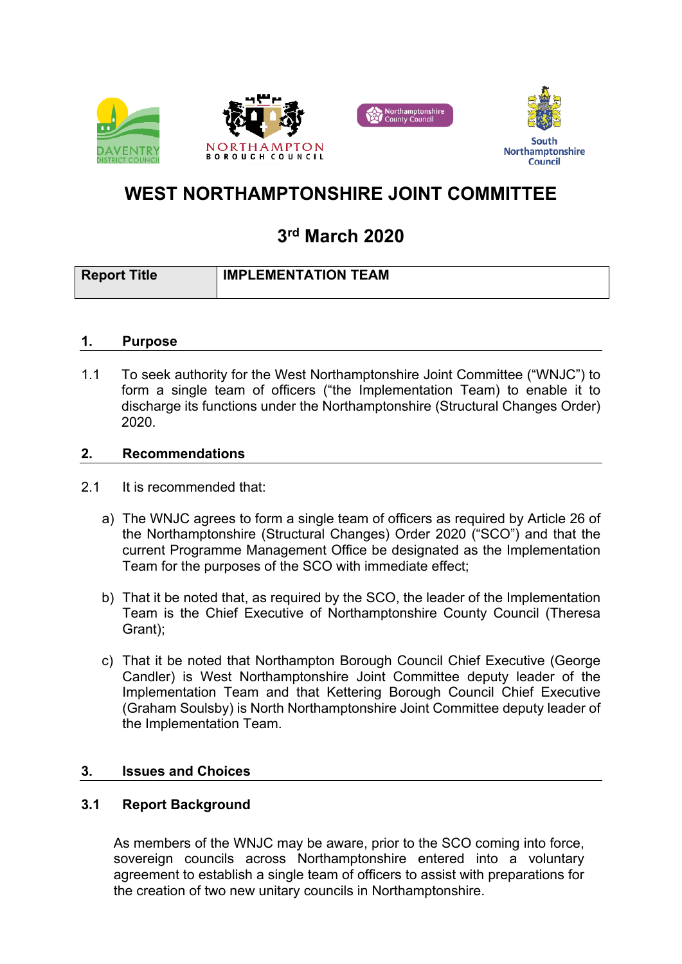





# **WEST NORTHAMPTONSHIRE JOINT COMMITTEE**

# **3 rd March 2020**

| <b>Report Title</b> | <b>IMPLEMENTATION TEAM</b> |
|---------------------|----------------------------|
|                     |                            |

## **1. Purpose**

1.1 To seek authority for the West Northamptonshire Joint Committee ("WNJC") to form a single team of officers ("the Implementation Team) to enable it to discharge its functions under the Northamptonshire (Structural Changes Order) 2020.

#### **2. Recommendations**

- 2.1 It is recommended that:
	- a) The WNJC agrees to form a single team of officers as required by Article 26 of the Northamptonshire (Structural Changes) Order 2020 ("SCO") and that the current Programme Management Office be designated as the Implementation Team for the purposes of the SCO with immediate effect;
	- b) That it be noted that, as required by the SCO, the leader of the Implementation Team is the Chief Executive of Northamptonshire County Council (Theresa Grant);
	- c) That it be noted that Northampton Borough Council Chief Executive (George Candler) is West Northamptonshire Joint Committee deputy leader of the Implementation Team and that Kettering Borough Council Chief Executive (Graham Soulsby) is North Northamptonshire Joint Committee deputy leader of the Implementation Team.

## **3. Issues and Choices**

## **3.1 Report Background**

As members of the WNJC may be aware, prior to the SCO coming into force, sovereign councils across Northamptonshire entered into a voluntary agreement to establish a single team of officers to assist with preparations for the creation of two new unitary councils in Northamptonshire.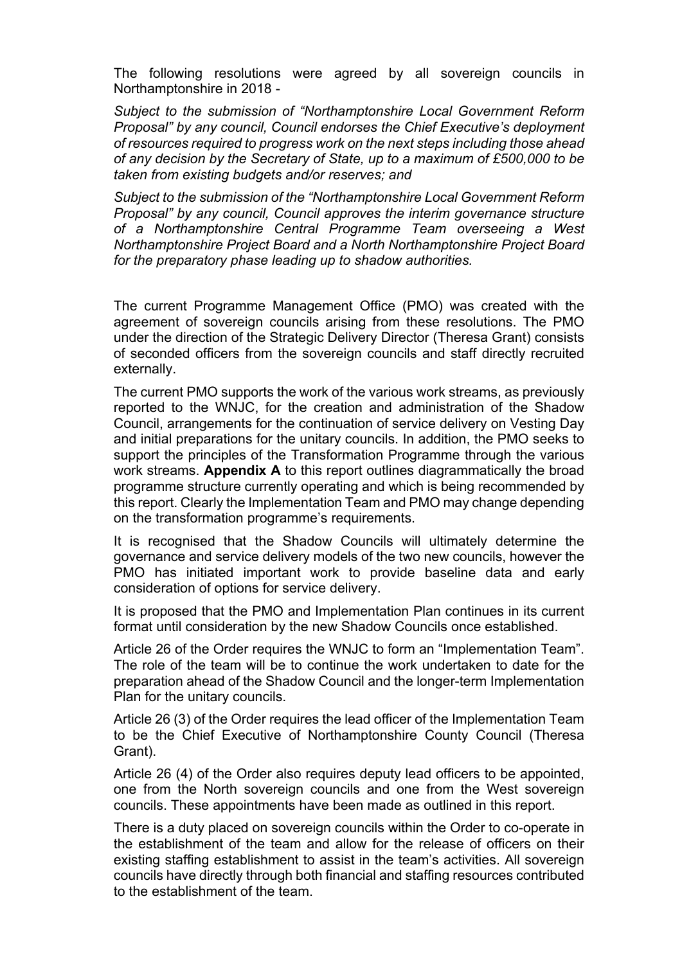The following resolutions were agreed by all sovereign councils in Northamptonshire in 2018 -

*Subject to the submission of "Northamptonshire Local Government Reform Proposal" by any council, Council endorses the Chief Executive's deployment of resources required to progress work on the next steps including those ahead of any decision by the Secretary of State, up to a maximum of £500,000 to be taken from existing budgets and/or reserves; and*

*Subject to the submission of the "Northamptonshire Local Government Reform Proposal" by any council, Council approves the interim governance structure of a Northamptonshire Central Programme Team overseeing a West Northamptonshire Project Board and a North Northamptonshire Project Board for the preparatory phase leading up to shadow authorities.*

The current Programme Management Office (PMO) was created with the agreement of sovereign councils arising from these resolutions. The PMO under the direction of the Strategic Delivery Director (Theresa Grant) consists of seconded officers from the sovereign councils and staff directly recruited externally.

The current PMO supports the work of the various work streams, as previously reported to the WNJC, for the creation and administration of the Shadow Council, arrangements for the continuation of service delivery on Vesting Day and initial preparations for the unitary councils. In addition, the PMO seeks to support the principles of the Transformation Programme through the various work streams. **Appendix A** to this report outlines diagrammatically the broad programme structure currently operating and which is being recommended by this report. Clearly the Implementation Team and PMO may change depending on the transformation programme's requirements.

It is recognised that the Shadow Councils will ultimately determine the governance and service delivery models of the two new councils, however the PMO has initiated important work to provide baseline data and early consideration of options for service delivery.

It is proposed that the PMO and Implementation Plan continues in its current format until consideration by the new Shadow Councils once established.

Article 26 of the Order requires the WNJC to form an "Implementation Team". The role of the team will be to continue the work undertaken to date for the preparation ahead of the Shadow Council and the longer-term Implementation Plan for the unitary councils.

Article 26 (3) of the Order requires the lead officer of the Implementation Team to be the Chief Executive of Northamptonshire County Council (Theresa Grant).

Article 26 (4) of the Order also requires deputy lead officers to be appointed, one from the North sovereign councils and one from the West sovereign councils. These appointments have been made as outlined in this report.

There is a duty placed on sovereign councils within the Order to co-operate in the establishment of the team and allow for the release of officers on their existing staffing establishment to assist in the team's activities. All sovereign councils have directly through both financial and staffing resources contributed to the establishment of the team.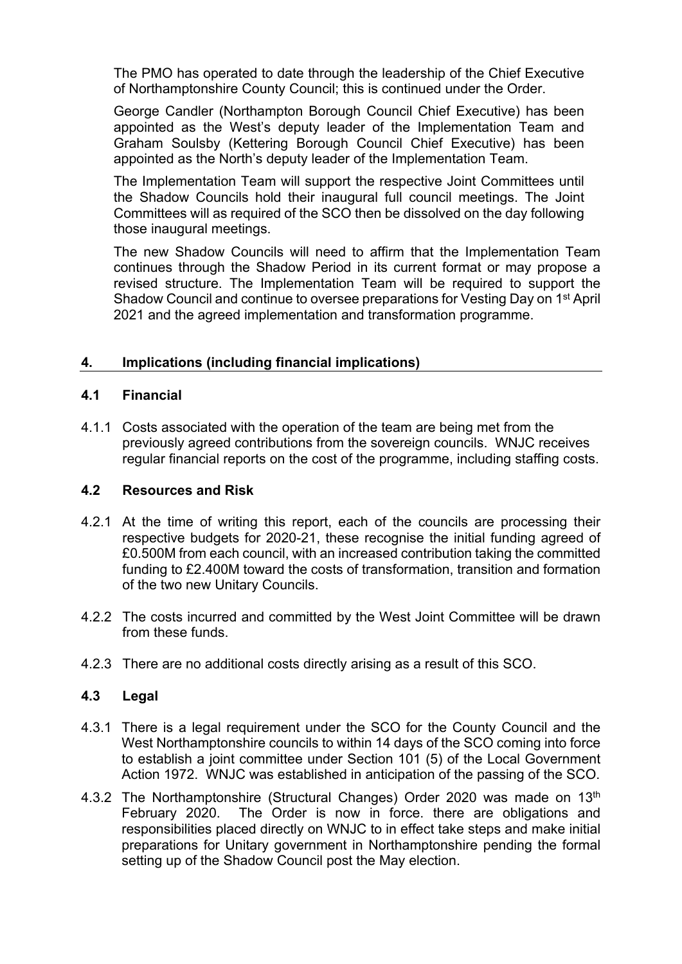The PMO has operated to date through the leadership of the Chief Executive of Northamptonshire County Council; this is continued under the Order.

George Candler (Northampton Borough Council Chief Executive) has been appointed as the West's deputy leader of the Implementation Team and Graham Soulsby (Kettering Borough Council Chief Executive) has been appointed as the North's deputy leader of the Implementation Team.

The Implementation Team will support the respective Joint Committees until the Shadow Councils hold their inaugural full council meetings. The Joint Committees will as required of the SCO then be dissolved on the day following those inaugural meetings.

The new Shadow Councils will need to affirm that the Implementation Team continues through the Shadow Period in its current format or may propose a revised structure. The Implementation Team will be required to support the Shadow Council and continue to oversee preparations for Vesting Day on 1<sup>st</sup> April 2021 and the agreed implementation and transformation programme.

## **4. Implications (including financial implications)**

## **4.1 Financial**

4.1.1 Costs associated with the operation of the team are being met from the previously agreed contributions from the sovereign councils. WNJC receives regular financial reports on the cost of the programme, including staffing costs.

## **4.2 Resources and Risk**

- 4.2.1 At the time of writing this report, each of the councils are processing their respective budgets for 2020-21, these recognise the initial funding agreed of £0.500M from each council, with an increased contribution taking the committed funding to £2.400M toward the costs of transformation, transition and formation of the two new Unitary Councils.
- 4.2.2 The costs incurred and committed by the West Joint Committee will be drawn from these funds.
- 4.2.3 There are no additional costs directly arising as a result of this SCO.

## **4.3 Legal**

- 4.3.1 There is a legal requirement under the SCO for the County Council and the West Northamptonshire councils to within 14 days of the SCO coming into force to establish a joint committee under Section 101 (5) of the Local Government Action 1972. WNJC was established in anticipation of the passing of the SCO.
- 4.3.2 The Northamptonshire (Structural Changes) Order 2020 was made on 13th February 2020. The Order is now in force. there are obligations and responsibilities placed directly on WNJC to in effect take steps and make initial preparations for Unitary government in Northamptonshire pending the formal setting up of the Shadow Council post the May election.